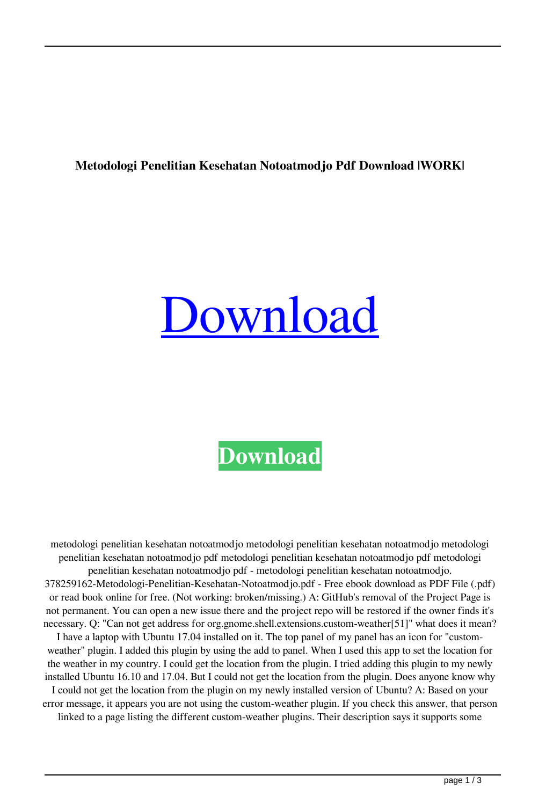## **Metodologi Penelitian Kesehatan Notoatmodjo Pdf Download |WORK|**

## [Download](https://urluss.com/2l1jlc)

**[Download](https://urluss.com/2l1jlc)**

metodologi penelitian kesehatan notoatmodjo metodologi penelitian kesehatan notoatmodjo metodologi penelitian kesehatan notoatmodjo pdf metodologi penelitian kesehatan notoatmodjo pdf metodologi penelitian kesehatan notoatmodjo pdf - metodologi penelitian kesehatan notoatmodjo. 378259162-Metodologi-Penelitian-Kesehatan-Notoatmodjo.pdf - Free ebook download as PDF File (.pdf) or read book online for free. (Not working: broken/missing.) A: GitHub's removal of the Project Page is not permanent. You can open a new issue there and the project repo will be restored if the owner finds it's necessary. Q: "Can not get address for org.gnome.shell.extensions.custom-weather[51]" what does it mean? I have a laptop with Ubuntu 17.04 installed on it. The top panel of my panel has an icon for "customweather" plugin. I added this plugin by using the add to panel. When I used this app to set the location for the weather in my country. I could get the location from the plugin. I tried adding this plugin to my newly installed Ubuntu 16.10 and 17.04. But I could not get the location from the plugin. Does anyone know why I could not get the location from the plugin on my newly installed version of Ubuntu? A: Based on your error message, it appears you are not using the custom-weather plugin. If you check this answer, that person linked to a page listing the different custom-weather plugins. Their description says it supports some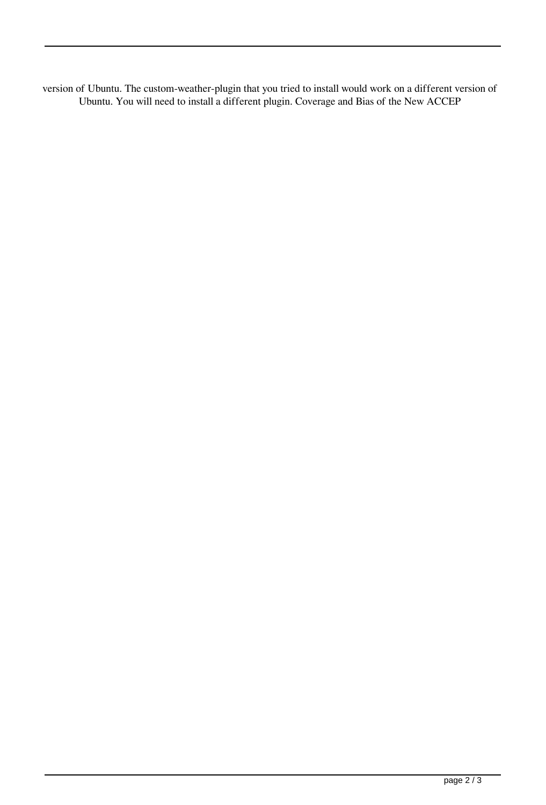version of Ubuntu. The custom-weather-plugin that you tried to install would work on a different version of Ubuntu. You will need to install a different plugin. Coverage and Bias of the New ACCEP